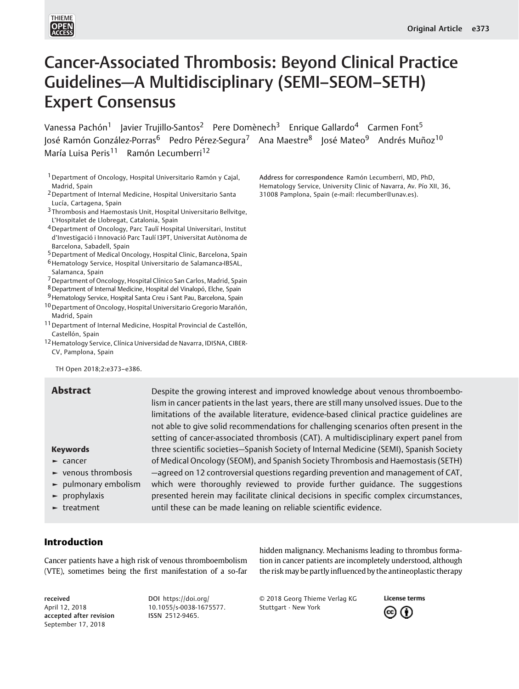

# Cancer-Associated Thrombosis: Beyond Clinical Practice Guidelines—A Multidisciplinary (SEMI–SEOM–SETH) Expert Consensus

Vanessa Pachón<sup>1</sup> Javier Trujillo-Santos<sup>2</sup> Pere Domènech<sup>3</sup> Enrique Gallardo<sup>4</sup> Carmen Font<sup>5</sup> José Ramón González-Porras<sup>6</sup> Pedro Pérez-Segura<sup>7</sup> Ana Maestre<sup>8</sup> José Mateo<sup>9</sup> Andrés Muñoz<sup>10</sup> María Luisa Peris<sup>11</sup> Ramón Lecumberri<sup>12</sup>

1Department of Oncology, Hospital Universitario Ramón y Cajal, Madrid, Spain

- 2Department of Internal Medicine, Hospital Universitario Santa Lucía, Cartagena, Spain
- 3 Thrombosis and Haemostasis Unit, Hospital Universitario Bellvitge, L'Hospitalet de Llobregat, Catalonia, Spain
- 4Department of Oncology, Parc Taulí Hospital Universitari, Institut d'Investigació i Innovació Parc Taulí I3PT, Universitat Autònoma de Barcelona, Sabadell, Spain
- 5Department of Medical Oncology, Hospital Clinic, Barcelona, Spain
- 6Hematology Service, Hospital Universitario de Salamanca-IBSAL, Salamanca, Spain
- 7Department of Oncology, Hospital Clínico San Carlos, Madrid, Spain
- 8Department of Internal Medicine, Hospital del Vinalopó, Elche, Spain
- 9 Hematology Service, Hospital Santa Creu i Sant Pau, Barcelona, Spain
- 10Department of Oncology, Hospital Universitario Gregorio Marañón, Madrid, Spain
- 11 Department of Internal Medicine, Hospital Provincial de Castellón, Castellón, Spain
- 12Hematology Service, Clínica Universidad de Navarra, IDISNA, CIBER-CV, Pamplona, Spain

TH Open 2018;2:e373–e386.

#### Keywords

- ► cancer
- ► venous thrombosis
- ► pulmonary embolism
- ► prophylaxis
- ► treatment

Abstract Despite the growing interest and improved knowledge about venous thromboembolism in cancer patients in the last years, there are still many unsolved issues. Due to the limitations of the available literature, evidence-based clinical practice guidelines are not able to give solid recommendations for challenging scenarios often present in the setting of cancer-associated thrombosis (CAT). A multidisciplinary expert panel from three scientific societies—Spanish Society of Internal Medicine (SEMI), Spanish Society of Medical Oncology (SEOM), and Spanish Society Thrombosis and Haemostasis (SETH) —agreed on 12 controversial questions regarding prevention and management of CAT, which were thoroughly reviewed to provide further guidance. The suggestions presented herein may facilitate clinical decisions in specific complex circumstances, until these can be made leaning on reliable scientific evidence.

# Introduction

Cancer patients have a high risk of venous thromboembolism (VTE), sometimes being the first manifestation of a so-far

received April 12, 2018 accepted after revision September 17, 2018

DOI https://doi.org/ 10.1[055/s-0038-1675](https://doi.org/10.1055/s-0038-1675577)577. ISSN [2512-9465.](https://doi.org/10.1055/s-0038-1675577)

hidden malignancy. Mechanisms leading to thrombus formation in cancer patients are incompletely understood, although the risk may be partly influenced by the antineoplastic therapy

Address for correspondence Ramón Lecumberri, MD, PhD, Hematology Service, University Clinic of Navarra, Av. Pío XII, 36,

31008 Pamplona, Spain (e-mail: rlecumber@unav.es).

© 2018 Georg Thieme Verlag KG Stuttgart · New York

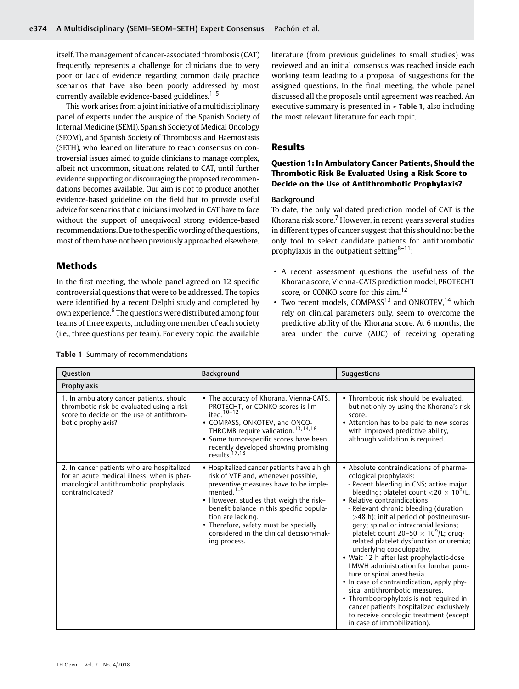itself. The management of cancer-associated thrombosis (CAT) frequently represents a challenge for clinicians due to very poor or lack of evidence regarding common daily practice scenarios that have also been poorly addressed by most currently available evidence-based guidelines. $1-5$ 

This work arises from a joint initiative of a multidisciplinary panel of experts under the auspice of the Spanish Society of Internal Medicine (SEMI), Spanish Society of Medical Oncology (SEOM), and Spanish Society of Thrombosis and Haemostasis (SETH), who leaned on literature to reach consensus on controversial issues aimed to guide clinicians to manage complex, albeit not uncommon, situations related to CAT, until further evidence supporting or discouraging the proposed recommendations becomes available. Our aim is not to produce another evidence-based guideline on the field but to provide useful advice for scenarios that clinicians involved in CAT have to face without the support of unequivocal strong evidence-based recommendations. Due to the specific wording of the questions, most of them have not been previously approached elsewhere.

# Methods

In the first meeting, the whole panel agreed on 12 specific controversial questions that were to be addressed. The topics were identified by a recent Delphi study and completed by own experience.<sup>6</sup> The questions were distributed among four teams of three experts, including one member of each society (i.e., three questions per team). For every topic, the available

literature (from previous guidelines to small studies) was reviewed and an initial consensus was reached inside each working team leading to a proposal of suggestions for the assigned questions. In the final meeting, the whole panel discussed all the proposals until agreement was reached. An executive summary is presented in **-Table 1**, also including the most relevant literature for each topic.

# Results

# Question 1: In Ambulatory Cancer Patients, Should the Thrombotic Risk Be Evaluated Using a Risk Score to Decide on the Use of Antithrombotic Prophylaxis?

#### Background

To date, the only validated prediction model of CAT is the Khorana risk score. $7$  However, in recent years several studies in different types of cancer suggest that this should not be the only tool to select candidate patients for antithrombotic prophylaxis in the outpatient setting $8-11$ :

- A recent assessment questions the usefulness of the Khorana score, Vienna-CATS prediction model, PROTECHT score, or CONKO score for this aim.<sup>12</sup>
- Two recent models,  $COMPASS<sup>13</sup>$  and  $ONKOTEV<sup>14</sup>$  which rely on clinical parameters only, seem to overcome the predictive ability of the Khorana score. At 6 months, the area under the curve (AUC) of receiving operating

| Background<br><b>Question</b>                                                                                                                           |                                                                                                                                                                                                                                                                                                                                                              | <b>Suggestions</b>                                                                                                                                                                                                                                                                                                                                                                                                                                                                                                                                                                                                                                                                                                                                                                                                                        |  |  |
|---------------------------------------------------------------------------------------------------------------------------------------------------------|--------------------------------------------------------------------------------------------------------------------------------------------------------------------------------------------------------------------------------------------------------------------------------------------------------------------------------------------------------------|-------------------------------------------------------------------------------------------------------------------------------------------------------------------------------------------------------------------------------------------------------------------------------------------------------------------------------------------------------------------------------------------------------------------------------------------------------------------------------------------------------------------------------------------------------------------------------------------------------------------------------------------------------------------------------------------------------------------------------------------------------------------------------------------------------------------------------------------|--|--|
| Prophylaxis                                                                                                                                             |                                                                                                                                                                                                                                                                                                                                                              |                                                                                                                                                                                                                                                                                                                                                                                                                                                                                                                                                                                                                                                                                                                                                                                                                                           |  |  |
| 1. In ambulatory cancer patients, should<br>thrombotic risk be evaluated using a risk<br>score to decide on the use of antithrom-<br>botic prophylaxis? | • The accuracy of Khorana, Vienna-CATS,<br>PROTECHT, or CONKO scores is lim-<br>ited. $10-12$<br>• COMPASS, ONKOTEV, and ONCO-<br>THROMB require validation. <sup>13,14,16</sup><br>• Some tumor-specific scores have been<br>recently developed showing promising<br>results. <sup>17,18</sup>                                                              | • Thrombotic risk should be evaluated.<br>but not only by using the Khorana's risk<br>score.<br>• Attention has to be paid to new scores<br>with improved predictive ability,<br>although validation is required.                                                                                                                                                                                                                                                                                                                                                                                                                                                                                                                                                                                                                         |  |  |
| 2. In cancer patients who are hospitalized<br>for an acute medical illness, when is phar-<br>macological antithrombotic prophylaxis<br>contraindicated? | • Hospitalized cancer patients have a high<br>risk of VTE and, whenever possible,<br>preventive measures have to be imple-<br>mented. $1-5$<br>• However, studies that weigh the risk-<br>benefit balance in this specific popula-<br>tion are lacking.<br>• Therefore, safety must be specially<br>considered in the clinical decision-mak-<br>ing process. | • Absolute contraindications of pharma-<br>cological prophylaxis:<br>- Recent bleeding in CNS; active major<br>bleeding; platelet count <20 $\times$ 10 <sup>9</sup> /L.<br>• Relative contraindications:<br>- Relevant chronic bleeding (duration<br>>48 h); initial period of postneurosur-<br>gery; spinal or intracranial lesions;<br>platelet count 20–50 $\times$ 10 <sup>9</sup> /L; drug-<br>related platelet dysfunction or uremia;<br>underlying coagulopathy.<br>• Wait 12 h after last prophylactic-dose<br>LMWH administration for lumbar punc-<br>ture or spinal anesthesia.<br>• In case of contraindication, apply phy-<br>sical antithrombotic measures.<br>• Thromboprophylaxis is not required in<br>cancer patients hospitalized exclusively<br>to receive oncologic treatment (except<br>in case of immobilization). |  |  |

Table 1 Summary of recommendations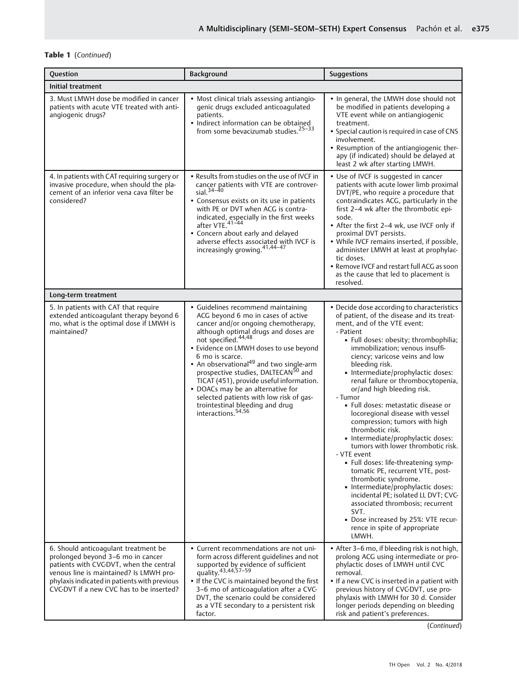# Table 1 (Continued)

| Question                                                                                                                                                                                                                                                    | Background                                                                                                                                                                                                                                                                                                                                                                                                                                                                                                                                                         | <b>Suggestions</b>                                                                                                                                                                                                                                                                                                                                                                                                                                                                                                                                                                                                                                                                                                                                                                                                                                                                                                                |
|-------------------------------------------------------------------------------------------------------------------------------------------------------------------------------------------------------------------------------------------------------------|--------------------------------------------------------------------------------------------------------------------------------------------------------------------------------------------------------------------------------------------------------------------------------------------------------------------------------------------------------------------------------------------------------------------------------------------------------------------------------------------------------------------------------------------------------------------|-----------------------------------------------------------------------------------------------------------------------------------------------------------------------------------------------------------------------------------------------------------------------------------------------------------------------------------------------------------------------------------------------------------------------------------------------------------------------------------------------------------------------------------------------------------------------------------------------------------------------------------------------------------------------------------------------------------------------------------------------------------------------------------------------------------------------------------------------------------------------------------------------------------------------------------|
| Initial treatment                                                                                                                                                                                                                                           |                                                                                                                                                                                                                                                                                                                                                                                                                                                                                                                                                                    |                                                                                                                                                                                                                                                                                                                                                                                                                                                                                                                                                                                                                                                                                                                                                                                                                                                                                                                                   |
| 3. Must LMWH dose be modified in cancer<br>patients with acute VTE treated with anti-<br>angiogenic drugs?                                                                                                                                                  | • Most clinical trials assessing antiangio-<br>genic drugs excluded anticoagulated<br>patients.<br>· Indirect information can be obtained<br>from some bevacizumab studies. <sup>25-33</sup>                                                                                                                                                                                                                                                                                                                                                                       | • In general, the LMWH dose should not<br>be modified in patients developing a<br>VTE event while on antiangiogenic<br>treatment.<br>• Special caution is required in case of CNS<br>involvement.<br>• Resumption of the antiangiogenic ther-<br>apy (if indicated) should be delayed at<br>least 2 wk after starting LMWH.                                                                                                                                                                                                                                                                                                                                                                                                                                                                                                                                                                                                       |
| 4. In patients with CAT requiring surgery or<br>invasive procedure, when should the pla-<br>cement of an inferior vena cava filter be<br>considered?                                                                                                        | • Results from studies on the use of IVCF in<br>cancer patients with VTE are controver-<br>$sial.34-40$<br>• Consensus exists on its use in patients<br>with PE or DVT when ACG is contra-<br>indicated, especially in the first weeks<br>after VTE. <sup>41-44</sup><br>• Concern about early and delayed<br>adverse effects associated with IVCF is<br>increasingly growing. 41,44-47                                                                                                                                                                            | • Use of IVCF is suggested in cancer<br>patients with acute lower limb proximal<br>DVT/PE, who require a procedure that<br>contraindicates ACG, particularly in the<br>first 2-4 wk after the thrombotic epi-<br>sode.<br>• After the first 2-4 wk, use IVCF only if<br>proximal DVT persists.<br>• While IVCF remains inserted, if possible,<br>administer LMWH at least at prophylac-<br>tic doses.<br>• Remove IVCF and restart full ACG as soon<br>as the cause that led to placement is<br>resolved.                                                                                                                                                                                                                                                                                                                                                                                                                         |
| Long-term treatment                                                                                                                                                                                                                                         |                                                                                                                                                                                                                                                                                                                                                                                                                                                                                                                                                                    |                                                                                                                                                                                                                                                                                                                                                                                                                                                                                                                                                                                                                                                                                                                                                                                                                                                                                                                                   |
| 5. In patients with CAT that require<br>extended anticoagulant therapy beyond 6<br>mo, what is the optimal dose if LMWH is<br>maintained?                                                                                                                   | • Guidelines recommend maintaining<br>ACG beyond 6 mo in cases of active<br>cancer and/or ongoing chemotherapy,<br>although optimal drugs and doses are<br>not specified. <sup>44,48</sup><br>• Evidence on LMWH doses to use beyond<br>6 mo is scarce.<br>• An observational <sup>49</sup> and two single-arm<br>prospective studies, DALTECAN <sup>50</sup> and<br>TICAT (451), provide useful information.<br>• DOACs may be an alternative for<br>selected patients with low risk of gas-<br>trointestinal bleeding and drug<br>interactions. <sup>54,56</sup> | • Decide dose according to characteristics<br>of patient, of the disease and its treat-<br>ment, and of the VTE event:<br>- Patient<br>· Full doses: obesity; thrombophilia;<br>immobilization; venous insuffi-<br>ciency; varicose veins and low<br>bleeding risk.<br>· Intermediate/prophylactic doses:<br>renal failure or thrombocytopenia,<br>or/and high bleeding risk.<br>- Tumor<br>· Full doses: metastatic disease or<br>locoregional disease with vessel<br>compression; tumors with high<br>thrombotic risk.<br>· Intermediate/prophylactic doses:<br>tumors with lower thrombotic risk.<br>- VTE event<br>· Full doses: life-threatening symp-<br>tomatic PE, recurrent VTE, post-<br>thrombotic syndrome.<br>· Intermediate/prophylactic doses:<br>incidental PE; isolated LL DVT; CVG<br>associated thrombosis; recurrent<br>SVT.<br>• Dose increased by 25%: VTE recur-<br>rence in spite of appropriate<br>LMWH. |
| 6. Should anticoagulant treatment be<br>prolonged beyond 3-6 mo in cancer<br>patients with CVC-DVT, when the central<br>venous line is maintained? Is LMWH pro-<br>phylaxis indicated in patients with previous<br>CVC-DVT if a new CVC has to be inserted? | • Current recommendations are not uni-<br>form across different guidelines and not<br>supported by evidence of sufficient<br>quality. <sup>43,44,57-59</sup><br>. If the CVC is maintained beyond the first<br>3-6 mo of anticoagulation after a CVC-<br>DVT, the scenario could be considered<br>as a VTE secondary to a persistent risk<br>factor.                                                                                                                                                                                                               | • After 3-6 mo, if bleeding risk is not high,<br>prolong ACG using intermediate or pro-<br>phylactic doses of LMWH until CVC<br>removal.<br>• If a new CVC is inserted in a patient with<br>previous history of CVGDVT, use pro-<br>phylaxis with LMWH for 30 d. Consider<br>longer periods depending on bleeding<br>risk and patient's preferences.                                                                                                                                                                                                                                                                                                                                                                                                                                                                                                                                                                              |

(Continued)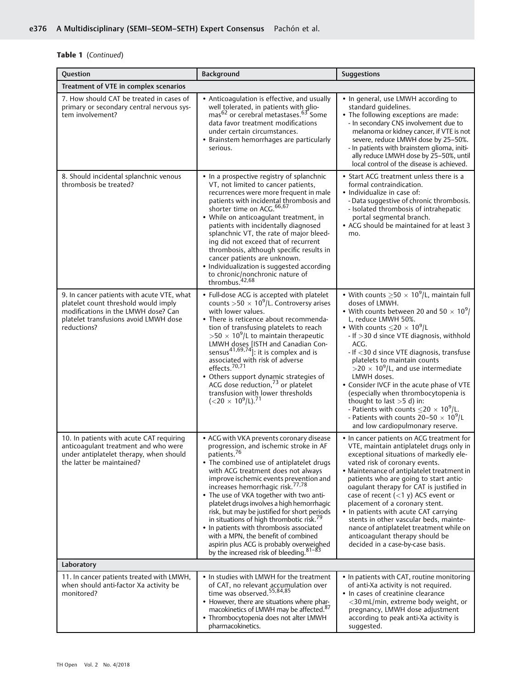# Table 1 (Continued)

| Question                                                                                                                                                                          | Background                                                                                                                                                                                                                                                                                                                                                                                                                                                                                                                                                                                                                                                             | Suggestions                                                                                                                                                                                                                                                                                                                                                                                                                                                                                                                                                                                                                                                                                                             |  |  |  |
|-----------------------------------------------------------------------------------------------------------------------------------------------------------------------------------|------------------------------------------------------------------------------------------------------------------------------------------------------------------------------------------------------------------------------------------------------------------------------------------------------------------------------------------------------------------------------------------------------------------------------------------------------------------------------------------------------------------------------------------------------------------------------------------------------------------------------------------------------------------------|-------------------------------------------------------------------------------------------------------------------------------------------------------------------------------------------------------------------------------------------------------------------------------------------------------------------------------------------------------------------------------------------------------------------------------------------------------------------------------------------------------------------------------------------------------------------------------------------------------------------------------------------------------------------------------------------------------------------------|--|--|--|
| Treatment of VTE in complex scenarios                                                                                                                                             |                                                                                                                                                                                                                                                                                                                                                                                                                                                                                                                                                                                                                                                                        |                                                                                                                                                                                                                                                                                                                                                                                                                                                                                                                                                                                                                                                                                                                         |  |  |  |
| 7. How should CAT be treated in cases of<br>primary or secondary central nervous sys-<br>tem involvement?                                                                         | • Anticoagulation is effective, and usually<br>well tolerated, in patients with glio-<br>mas <sup>62</sup> or cerebral metastases. <sup>63</sup> Some<br>data favor treatment modifications<br>under certain circumstances.<br>• Brainstem hemorrhages are particularly<br>serious.                                                                                                                                                                                                                                                                                                                                                                                    | • In general, use LMWH according to<br>standard quidelines.<br>• The following exceptions are made:<br>- In secondary CNS involvement due to<br>melanoma or kidney cancer, if VTE is not<br>severe, reduce LMWH dose by 25-50%.<br>- In patients with brainstem glioma, initi-<br>ally reduce LMWH dose by 25-50%, until<br>local control of the disease is achieved.                                                                                                                                                                                                                                                                                                                                                   |  |  |  |
| 8. Should incidental splanchnic venous<br>thrombosis be treated?                                                                                                                  | • In a prospective registry of splanchnic<br>VT, not limited to cancer patients,<br>recurrences were more frequent in male<br>patients with incidental thrombosis and<br>shorter time on ACG. <sup>66,67</sup><br>• While on anticoagulant treatment, in<br>patients with incidentally diagnosed<br>splanchnic VT, the rate of major bleed-<br>ing did not exceed that of recurrent<br>thrombosis, although specific results in<br>cancer patients are unknown.<br>· Individualization is suggested according<br>to chronic/nonchronic nature of<br>thrombus. <sup>42,68</sup>                                                                                         | • Start ACG treatment unless there is a<br>formal contraindication.<br>• Individualize in case of:<br>- Data suggestive of chronic thrombosis.<br>- Isolated thrombosis of intrahepatic<br>portal segmental branch.<br>• ACG should be maintained for at least 3<br>mo.                                                                                                                                                                                                                                                                                                                                                                                                                                                 |  |  |  |
| 9. In cancer patients with acute VTE, what<br>platelet count threshold would imply<br>modifications in the LMWH dose? Can<br>platelet transfusions avoid LMWH dose<br>reductions? | • Full-dose ACG is accepted with platelet<br>counts >50 $\times$ 10 <sup>9</sup> /L. Controversy arises<br>with lower values.<br>• There is reticence about recommenda-<br>tion of transfusing platelets to reach<br>>50 $\times$ 10 <sup>9</sup> /L to maintain therapeutic<br>LMWH doses [ISTH and Canadian Con-<br>sensus <sup>41,69,74</sup> : it is complex and is<br>associated with risk of adverse<br>effects. <sup>70,71</sup><br>• Others support dynamic strategies of<br>ACG dose reduction, <sup>73</sup> or platelet<br>transfusion with lower thresholds<br>$(<$ 20 $\times$ 10 <sup>9</sup> /L). <sup>71</sup>                                         | • With counts $\geq$ 50 $\times$ 10 <sup>9</sup> /L, maintain full<br>doses of LMWH.<br>• With counts between 20 and 50 $\times$ 10 <sup>9</sup> /<br>L, reduce LMWH 50%.<br>• With counts $\leq$ 20 $\times$ 10 <sup>9</sup> /L<br>- If > 30 d since VTE diagnosis, withhold<br>ACG.<br>- If <30 d since VTE diagnosis, transfuse<br>platelets to maintain counts<br>$>$ 20 $\times$ 10 <sup>9</sup> /L, and use intermediate<br>LMWH doses.<br>• Consider IVCF in the acute phase of VTE<br>(especially when thrombocytopenia is<br>thought to last $>5$ d) in:<br>- Patients with counts $\leq$ 20 $\times$ 10 <sup>9</sup> /L.<br>- Patients with counts $20-50 \times 10^9$ /L<br>and low cardiopulmonary reserve. |  |  |  |
| 10. In patients with acute CAT requiring<br>anticoaqulant treatment and who were<br>under antiplatelet therapy, when should<br>the latter be maintained?                          | • ACG with VKA prevents coronary disease<br>progression, and ischemic stroke in AF<br>patients. <sup>76</sup><br>• The combined use of antiplatelet drugs<br>with ACG treatment does not always<br>improve ischemic events prevention and<br>increases hemorrhagic risk. <sup>77,78</sup><br>• The use of VKA together with two anti-<br>platelet drugs involves a high hemorrhagic<br>risk, but may be justified for short periods<br>in situations of high thrombotic risk. <sup>79</sup><br>• In patients with thrombosis associated<br>with a MPN, the benefit of combined<br>aspirin plus ACG is probably overweighed<br>by the increased risk of bleeding. 81-83 | • In cancer patients on ACG treatment for<br>VTE, maintain antiplatelet drugs only in<br>exceptional situations of markedly ele-<br>vated risk of coronary events.<br>• Maintenance of antiplatelet treatment in<br>patients who are going to start antic-<br>oagulant therapy for CAT is justified in<br>case of recent $(<1 y)$ ACS event or<br>placement of a coronary stent.<br>• In patients with acute CAT carrying<br>stents in other vascular beds, mainte-<br>nance of antiplatelet treatment while on<br>anticoagulant therapy should be<br>decided in a case-by-case basis.                                                                                                                                  |  |  |  |
| Laboratory                                                                                                                                                                        |                                                                                                                                                                                                                                                                                                                                                                                                                                                                                                                                                                                                                                                                        |                                                                                                                                                                                                                                                                                                                                                                                                                                                                                                                                                                                                                                                                                                                         |  |  |  |
| 11. In cancer patients treated with LMWH,<br>when should anti-factor Xa activity be<br>monitored?                                                                                 | • In studies with LMWH for the treatment<br>of CAT, no relevant accumulation over<br>time was observed. <sup>55,84,85</sup><br>• However, there are situations where phar-<br>macokinetics of LMWH may be affected. <sup>87</sup><br>• Thrombocytopenia does not alter LMWH<br>pharmacokinetics.                                                                                                                                                                                                                                                                                                                                                                       | • In patients with CAT, routine monitoring<br>of anti-Xa activity is not required.<br>• In cases of creatinine clearance<br><30 mL/min, extreme body weight, or<br>pregnancy, LMWH dose adjustment<br>according to peak anti-Xa activity is<br>suggested.                                                                                                                                                                                                                                                                                                                                                                                                                                                               |  |  |  |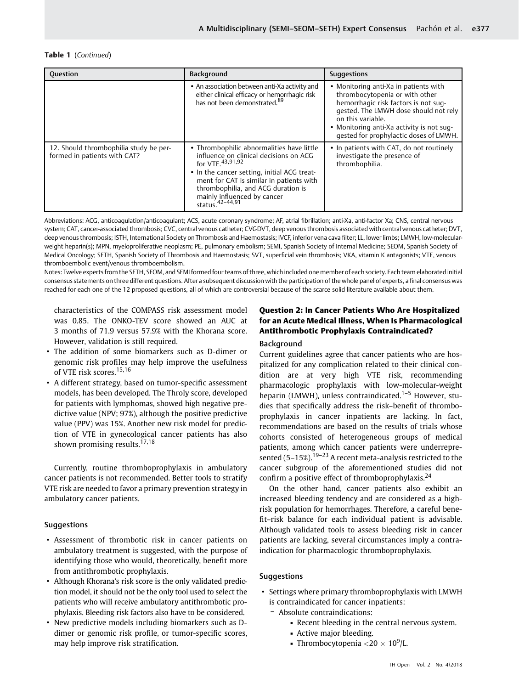#### Table 1 (Continued)

| Question                                                               | <b>Background</b>                                                                                                                                                                                                                                                                                         | <b>Suggestions</b>                                                                                                                                                                                                                                                   |  |  |
|------------------------------------------------------------------------|-----------------------------------------------------------------------------------------------------------------------------------------------------------------------------------------------------------------------------------------------------------------------------------------------------------|----------------------------------------------------------------------------------------------------------------------------------------------------------------------------------------------------------------------------------------------------------------------|--|--|
|                                                                        | • An association between anti-Xa activity and<br>either clinical efficacy or hemorrhagic risk<br>has not been demonstrated. <sup>89</sup>                                                                                                                                                                 | • Monitoring anti-Xa in patients with<br>thrombocytopenia or with other<br>hemorrhagic risk factors is not sug-<br>gested. The LMWH dose should not rely<br>on this variable.<br>• Monitoring anti-Xa activity is not sug-<br>gested for prophylactic doses of LMWH. |  |  |
| 12. Should thrombophilia study be per-<br>formed in patients with CAT? | • Thrombophilic abnormalities have little<br>influence on clinical decisions on ACG<br>for VTE. 43, 91, 92<br>• In the cancer setting, initial ACG treat-<br>ment for CAT is similar in patients with<br>thrombophilia, and ACG duration is<br>mainly influenced by cancer<br>status. <sup>42-44,91</sup> | • In patients with CAT, do not routinely<br>investigate the presence of<br>thrombophilia.                                                                                                                                                                            |  |  |

Abbreviations: ACG, anticoagulation/anticoagulant; ACS, acute coronary syndrome; AF, atrial fibrillation; anti-Xa, anti-factor Xa; CNS, central nervous system; CAT, cancer-associated thrombosis; CVC, central venous catheter; CVC-DVT, deep venous thrombosis associated with central venous catheter; DVT, deep venous thrombosis; ISTH, International Society on Thrombosis and Haemostasis; IVCF, inferior vena cava filter; LL, lower limbs; LMWH, low-molecularweight heparin(s); MPN, myeloproliferative neoplasm; PE, pulmonary embolism; SEMI, Spanish Society of Internal Medicine; SEOM, Spanish Society of Medical Oncology; SETH, Spanish Society of Thrombosis and Haemostasis; SVT, superficial vein thrombosis; VKA, vitamin K antagonists; VTE, venous thromboembolic event/venous thromboembolism.

Notes: Twelve experts from the SETH, SEOM, and SEMI formed four teams of three, which included one member of each society. Each team elaborated initial consensus statements on three different questions. After a subsequent discussion with the participation of the whole panel of experts, a final consensus was reached for each one of the 12 proposed questions, all of which are controversial because of the scarce solid literature available about them.

characteristics of the COMPASS risk assessment model was 0.85. The ONKO-TEV score showed an AUC at 3 months of 71.9 versus 57.9% with the Khorana score. However, validation is still required.

- The addition of some biomarkers such as D-dimer or genomic risk profiles may help improve the usefulness of VTE risk scores.15,16
- A different strategy, based on tumor-specific assessment models, has been developed. The Throly score, developed for patients with lymphomas, showed high negative predictive value (NPV; 97%), although the positive predictive value (PPV) was 15%. Another new risk model for prediction of VTE in gynecological cancer patients has also shown promising results.<sup>17,18</sup>

Currently, routine thromboprophylaxis in ambulatory cancer patients is not recommended. Better tools to stratify VTE risk are needed to favor a primary prevention strategy in ambulatory cancer patients.

# **Suggestions**

- Assessment of thrombotic risk in cancer patients on ambulatory treatment is suggested, with the purpose of identifying those who would, theoretically, benefit more from antithrombotic prophylaxis.
- Although Khorana's risk score is the only validated prediction model, it should not be the only tool used to select the patients who will receive ambulatory antithrombotic prophylaxis. Bleeding risk factors also have to be considered.
- New predictive models including biomarkers such as Ddimer or genomic risk profile, or tumor-specific scores, may help improve risk stratification.

# Question 2: In Cancer Patients Who Are Hospitalized for an Acute Medical Illness, When Is Pharmacological Antithrombotic Prophylaxis Contraindicated?

#### Background

Current guidelines agree that cancer patients who are hospitalized for any complication related to their clinical condition are at very high VTE risk, recommending pharmacologic prophylaxis with low-molecular-weight heparin (LMWH), unless contraindicated.<sup>1-5</sup> However, studies that specifically address the risk–benefit of thromboprophylaxis in cancer inpatients are lacking. In fact, recommendations are based on the results of trials whose cohorts consisted of heterogeneous groups of medical patients, among which cancer patients were underrepresented  $(5-15\%)$ .<sup>19-23</sup> A recent meta-analysis restricted to the cancer subgroup of the aforementioned studies did not confirm a positive effect of thromboprophylaxis.  $24$ 

On the other hand, cancer patients also exhibit an increased bleeding tendency and are considered as a highrisk population for hemorrhages. Therefore, a careful benefit–risk balance for each individual patient is advisable. Although validated tools to assess bleeding risk in cancer patients are lacking, several circumstances imply a contraindication for pharmacologic thromboprophylaxis.

# **Suggestions**

- Settings where primary thromboprophylaxis with LMWH is contraindicated for cancer inpatients:
	- Absolute contraindications:
		- Recent bleeding in the central nervous system.
		- Active major bleeding.
		- Thrombocytopenia  $\langle 20 \times 10^9 \rangle$ L.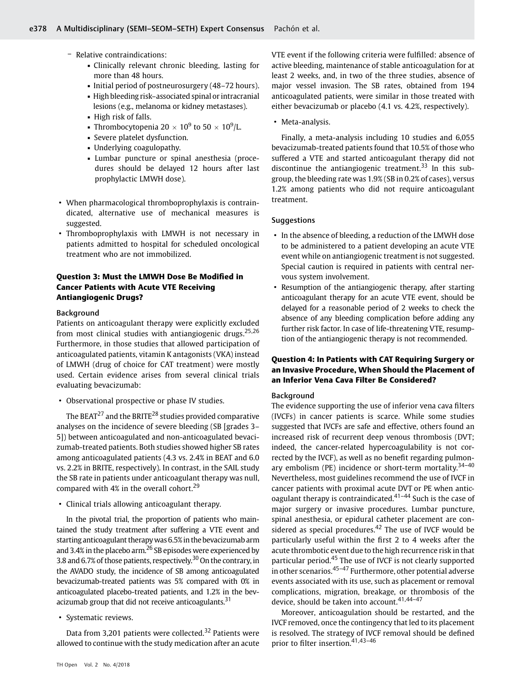- Relative contraindications:
	- Clinically relevant chronic bleeding, lasting for more than 48 hours.
	- Initial period of postneurosurgery (48–72 hours).
	- High bleeding risk–associated spinal or intracranial lesions (e.g., melanoma or kidney metastases).
	- High risk of falls.
	- Thrombocytopenia  $20 \times 10^9$  to  $50 \times 10^9$ /L.
	- Severe platelet dysfunction.
	- Underlying coagulopathy.
	- Lumbar puncture or spinal anesthesia (procedures should be delayed 12 hours after last prophylactic LMWH dose).
- When pharmacological thromboprophylaxis is contraindicated, alternative use of mechanical measures is suggested.
- Thromboprophylaxis with LMWH is not necessary in patients admitted to hospital for scheduled oncological treatment who are not immobilized.

# Question 3: Must the LMWH Dose Be Modified in Cancer Patients with Acute VTE Receiving Antiangiogenic Drugs?

### Background

Patients on anticoagulant therapy were explicitly excluded from most clinical studies with antiangiogenic drugs.<sup>25,26</sup> Furthermore, in those studies that allowed participation of anticoagulated patients, vitamin K antagonists (VKA) instead of LMWH (drug of choice for CAT treatment) were mostly used. Certain evidence arises from several clinical trials evaluating bevacizumab:

• Observational prospective or phase IV studies.

The BEAT<sup>27</sup> and the BRITE<sup>28</sup> studies provided comparative analyses on the incidence of severe bleeding (SB [grades 3– 5]) between anticoagulated and non-anticoagulated bevacizumab-treated patients. Both studies showed higher SB rates among anticoagulated patients (4.3 vs. 2.4% in BEAT and 6.0 vs. 2.2% in BRITE, respectively). In contrast, in the SAIL study the SB rate in patients under anticoagulant therapy was null, compared with  $4\%$  in the overall cohort.<sup>29</sup>

• Clinical trials allowing anticoagulant therapy.

In the pivotal trial, the proportion of patients who maintained the study treatment after suffering a VTE event and starting anticoagulant therapy was 6.5% in the bevacizumab arm and 3.4% in the placebo arm.<sup>26</sup> SB episodes were experienced by 3.8 and 6.7% of those patients, respectively.<sup>30</sup> On the contrary, in the AVADO study, the incidence of SB among anticoagulated bevacizumab-treated patients was 5% compared with 0% in anticoagulated placebo-treated patients, and 1.2% in the bevacizumab group that did not receive anticoagulants. $31$ 

• Systematic reviews.

Data from 3,201 patients were collected.<sup>32</sup> Patients were allowed to continue with the study medication after an acute VTE event if the following criteria were fulfilled: absence of active bleeding, maintenance of stable anticoagulation for at least 2 weeks, and, in two of the three studies, absence of major vessel invasion. The SB rates, obtained from 194 anticoagulated patients, were similar in those treated with either bevacizumab or placebo (4.1 vs. 4.2%, respectively).

• Meta-analysis.

Finally, a meta-analysis including 10 studies and 6,055 bevacizumab-treated patients found that 10.5% of those who suffered a VTE and started anticoagulant therapy did not discontinue the antiangiogenic treatment.<sup>33</sup> In this subgroup, the bleeding rate was 1.9% (SB in 0.2% of cases), versus 1.2% among patients who did not require anticoagulant treatment.

#### **Suggestions**

- In the absence of bleeding, a reduction of the LMWH dose to be administered to a patient developing an acute VTE event while on antiangiogenic treatment is not suggested. Special caution is required in patients with central nervous system involvement.
- Resumption of the antiangiogenic therapy, after starting anticoagulant therapy for an acute VTE event, should be delayed for a reasonable period of 2 weeks to check the absence of any bleeding complication before adding any further risk factor. In case of life-threatening VTE, resumption of the antiangiogenic therapy is not recommended.

# Question 4: In Patients with CAT Requiring Surgery or an Invasive Procedure, When Should the Placement of an Inferior Vena Cava Filter Be Considered?

#### Background

The evidence supporting the use of inferior vena cava filters (IVCFs) in cancer patients is scarce. While some studies suggested that IVCFs are safe and effective, others found an increased risk of recurrent deep venous thrombosis (DVT; indeed, the cancer-related hypercoagulability is not corrected by the IVCF), as well as no benefit regarding pulmonary embolism (PE) incidence or short-term mortality.<sup>34-40</sup> Nevertheless, most guidelines recommend the use of IVCF in cancer patients with proximal acute DVT or PE when anticoagulant therapy is contraindicated. $41-44$  Such is the case of major surgery or invasive procedures. Lumbar puncture, spinal anesthesia, or epidural catheter placement are considered as special procedures. $42$  The use of IVCF would be particularly useful within the first 2 to 4 weeks after the acute thrombotic event due to the high recurrence risk in that particular period.<sup>45</sup> The use of IVCF is not clearly supported in other scenarios. $45-47$  Furthermore, other potential adverse events associated with its use, such as placement or removal complications, migration, breakage, or thrombosis of the device, should be taken into account.<sup>41,44-47</sup>

Moreover, anticoagulation should be restarted, and the IVCF removed, once the contingency that led to its placement is resolved. The strategy of IVCF removal should be defined prior to filter insertion.<sup>41,43-46</sup>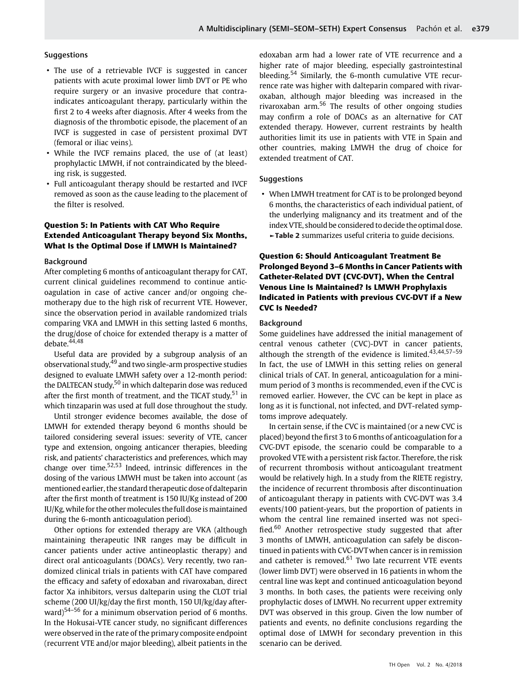#### **Suggestions**

- The use of a retrievable IVCF is suggested in cancer patients with acute proximal lower limb DVT or PE who require surgery or an invasive procedure that contraindicates anticoagulant therapy, particularly within the first 2 to 4 weeks after diagnosis. After 4 weeks from the diagnosis of the thrombotic episode, the placement of an IVCF is suggested in case of persistent proximal DVT (femoral or iliac veins).
- While the IVCF remains placed, the use of (at least) prophylactic LMWH, if not contraindicated by the bleeding risk, is suggested.
- Full anticoagulant therapy should be restarted and IVCF removed as soon as the cause leading to the placement of the filter is resolved.

# Question 5: In Patients with CAT Who Require Extended Anticoagulant Therapy beyond Six Months, What Is the Optimal Dose if LMWH Is Maintained?

#### Background

After completing 6 months of anticoagulant therapy for CAT, current clinical guidelines recommend to continue anticoagulation in case of active cancer and/or ongoing chemotherapy due to the high risk of recurrent VTE. However, since the observation period in available randomized trials comparing VKA and LMWH in this setting lasted 6 months, the drug/dose of choice for extended therapy is a matter of debate.<sup>44,48</sup>

Useful data are provided by a subgroup analysis of an observational study, $49$  and two single-arm prospective studies designed to evaluate LMWH safety over a 12-month period: the DALTECAN study,<sup>50</sup> in which dalteparin dose was reduced after the first month of treatment, and the TICAT study,  $51$  in which tinzaparin was used at full dose throughout the study.

Until stronger evidence becomes available, the dose of LMWH for extended therapy beyond 6 months should be tailored considering several issues: severity of VTE, cancer type and extension, ongoing anticancer therapies, bleeding risk, and patients' characteristics and preferences, which may change over time.<sup>52,53</sup> Indeed, intrinsic differences in the dosing of the various LMWH must be taken into account (as mentioned earlier, the standard therapeutic dose of dalteparin after the first month of treatment is 150 IU/Kg instead of 200 IU/Kg, while for the other molecules the full dose ismaintained during the 6-month anticoagulation period).

Other options for extended therapy are VKA (although maintaining therapeutic INR ranges may be difficult in cancer patients under active antineoplastic therapy) and direct oral anticoagulants (DOACs). Very recently, two randomized clinical trials in patients with CAT have compared the efficacy and safety of edoxaban and rivaroxaban, direct factor Xa inhibitors, versus dalteparin using the CLOT trial scheme (200 UI/kg/day the first month, 150 UI/kg/day afterward)<sup>54–56</sup> for a minimum observation period of 6 months. In the Hokusai-VTE cancer study, no significant differences were observed in the rate of the primary composite endpoint (recurrent VTE and/or major bleeding), albeit patients in the edoxaban arm had a lower rate of VTE recurrence and a higher rate of major bleeding, especially gastrointestinal bleeding.<sup>54</sup> Similarly, the 6-month cumulative VTE recurrence rate was higher with dalteparin compared with rivaroxaban, although major bleeding was increased in the rivaroxaban arm.<sup>56</sup> The results of other ongoing studies may confirm a role of DOACs as an alternative for CAT extended therapy. However, current restraints by health authorities limit its use in patients with VTE in Spain and other countries, making LMWH the drug of choice for extended treatment of CAT.

#### **Suggestions**

• When LMWH treatment for CAT is to be prolonged beyond 6 months, the characteristics of each individual patient, of the underlying malignancy and its treatment and of the index VTE, should be considered to decide the optimal dose. ►Table 2 summarizes useful criteria to guide decisions.

# Question 6: Should Anticoagulant Treatment Be Prolonged Beyond 3–6 Months in Cancer Patients with Catheter-Related DVT (CVC-DVT), When the Central Venous Line Is Maintained? Is LMWH Prophylaxis Indicated in Patients with previous CVC-DVT if a New CVC Is Needed?

#### Background

Some guidelines have addressed the initial management of central venous catheter (CVC)-DVT in cancer patients, although the strength of the evidence is limited. $43,44,57-59$ In fact, the use of LMWH in this setting relies on general clinical trials of CAT. In general, anticoagulation for a minimum period of 3 months is recommended, even if the CVC is removed earlier. However, the CVC can be kept in place as long as it is functional, not infected, and DVT-related symptoms improve adequately.

In certain sense, if the CVC is maintained (or a new CVC is placed) beyond the first 3 to 6 months of anticoagulation for a CVC-DVT episode, the scenario could be comparable to a provoked VTE with a persistent risk factor. Therefore, the risk of recurrent thrombosis without anticoagulant treatment would be relatively high. In a study from the RIETE registry, the incidence of recurrent thrombosis after discontinuation of anticoagulant therapy in patients with CVC-DVT was 3.4 events/100 patient-years, but the proportion of patients in whom the central line remained inserted was not specified. $60$  Another retrospective study suggested that after 3 months of LMWH, anticoagulation can safely be discontinued in patients with CVC-DVTwhen cancer is in remission and catheter is removed. $61$  Two late recurrent VTE events (lower limb DVT) were observed in 16 patients in whom the central line was kept and continued anticoagulation beyond 3 months. In both cases, the patients were receiving only prophylactic doses of LMWH. No recurrent upper extremity DVT was observed in this group. Given the low number of patients and events, no definite conclusions regarding the optimal dose of LMWH for secondary prevention in this scenario can be derived.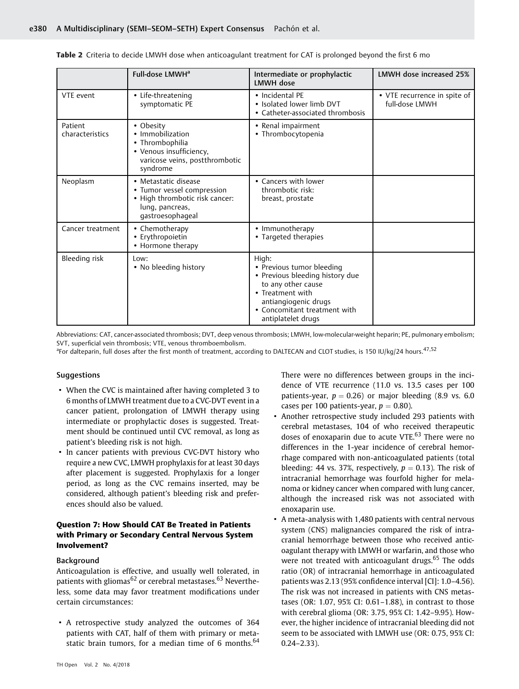|                            | Full-dose LMWH <sup>a</sup>                                                                                                 | Intermediate or prophylactic<br><b>IMWH dose</b>                                                                                                                                              | LMWH dose increased 25%                        |
|----------------------------|-----------------------------------------------------------------------------------------------------------------------------|-----------------------------------------------------------------------------------------------------------------------------------------------------------------------------------------------|------------------------------------------------|
| VTE event                  | • Life-threatening<br>symptomatic PE                                                                                        | • Incidental PE<br>• Isolated lower limb DVT<br>• Catheter-associated thrombosis                                                                                                              | • VTE recurrence in spite of<br>full-dose LMWH |
| Patient<br>characteristics | • Obesity<br>• Immobilization<br>• Thrombophilia<br>• Venous insufficiency,<br>varicose veins, postthrombotic<br>syndrome   | • Renal impairment<br>• Thrombocytopenia                                                                                                                                                      |                                                |
| Neoplasm                   | • Metastatic disease<br>• Tumor vessel compression<br>• High thrombotic risk cancer:<br>lung, pancreas,<br>gastroesophageal | • Cancers with lower<br>thrombotic risk:<br>breast, prostate                                                                                                                                  |                                                |
| Cancer treatment           | • Chemotherapy<br>• Erythropoietin<br>• Hormone therapy                                                                     | • Immunotherapy<br>• Targeted therapies                                                                                                                                                       |                                                |
| Bleeding risk              | Low:<br>• No bleeding history                                                                                               | High:<br>• Previous tumor bleeding<br>• Previous bleeding history due<br>to any other cause<br>• Treatment with<br>antiangiogenic drugs<br>• Concomitant treatment with<br>antiplatelet drugs |                                                |

|  |  | Table 2 Criteria to decide LMWH dose when anticoagulant treatment for CAT is prolonged bevond the first 6 mo |  |  |
|--|--|--------------------------------------------------------------------------------------------------------------|--|--|
|  |  |                                                                                                              |  |  |

Abbreviations: CAT, cancer-associated thrombosis; DVT, deep venous thrombosis; LMWH, low-molecular-weight heparin; PE, pulmonary embolism; SVT, superficial vein thrombosis; VTE, venous thromboembolism.

<sup>a</sup>For dalteparin, full doses after the first month of treatment, according to DALTECAN and CLOT studies, is 150 IU/kg/24 hours.<sup>47,52</sup>

#### Suggestions

- When the CVC is maintained after having completed 3 to 6 months of LMWH treatment due to a CVC-DVT event in a cancer patient, prolongation of LMWH therapy using intermediate or prophylactic doses is suggested. Treatment should be continued until CVC removal, as long as patient's bleeding risk is not high.
- In cancer patients with previous CVC-DVT history who require a new CVC, LMWH prophylaxis for at least 30 days after placement is suggested. Prophylaxis for a longer period, as long as the CVC remains inserted, may be considered, although patient's bleeding risk and preferences should also be valued.

# Question 7: How Should CAT Be Treated in Patients with Primary or Secondary Central Nervous System Involvement?

#### **Background**

Anticoagulation is effective, and usually well tolerated, in patients with gliomas<sup>62</sup> or cerebral metastases.<sup>63</sup> Nevertheless, some data may favor treatment modifications under certain circumstances:

• A retrospective study analyzed the outcomes of 364 patients with CAT, half of them with primary or metastatic brain tumors, for a median time of 6 months.<sup>64</sup> There were no differences between groups in the incidence of VTE recurrence (11.0 vs. 13.5 cases per 100 patients-year,  $p = 0.26$ ) or major bleeding (8.9 vs. 6.0 cases per 100 patients-year,  $p = 0.80$ ).

- Another retrospective study included 293 patients with cerebral metastases, 104 of who received therapeutic doses of enoxaparin due to acute VTE.<sup>63</sup> There were no differences in the 1-year incidence of cerebral hemorrhage compared with non-anticoagulated patients (total bleeding: 44 vs. 37%, respectively,  $p = 0.13$ ). The risk of intracranial hemorrhage was fourfold higher for melanoma or kidney cancer when compared with lung cancer, although the increased risk was not associated with enoxaparin use.
- A meta-analysis with 1,480 patients with central nervous system (CNS) malignancies compared the risk of intracranial hemorrhage between those who received anticoagulant therapy with LMWH or warfarin, and those who were not treated with anticoagulant drugs.<sup>65</sup> The odds ratio (OR) of intracranial hemorrhage in anticoagulated patients was 2.13 (95% confidence interval [CI]: 1.0–4.56). The risk was not increased in patients with CNS metastases (OR: 1.07, 95% CI: 0.61–1.88), in contrast to those with cerebral glioma (OR: 3.75, 95% CI: 1.42–9.95). However, the higher incidence of intracranial bleeding did not seem to be associated with LMWH use (OR: 0.75, 95% CI: 0.24–2.33).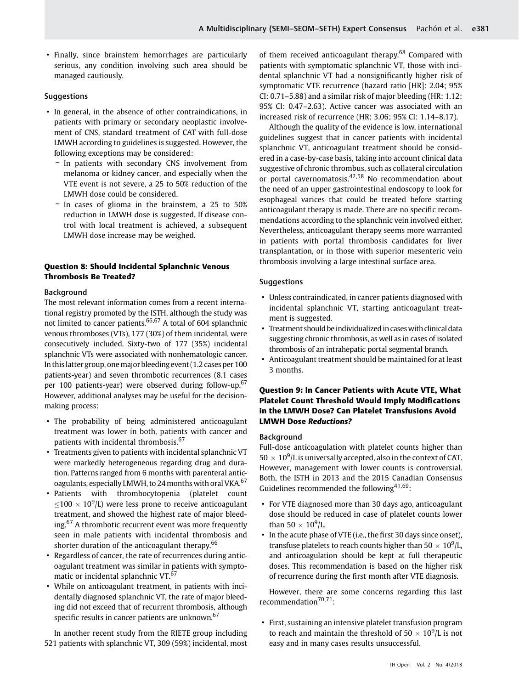• Finally, since brainstem hemorrhages are particularly serious, any condition involving such area should be managed cautiously.

#### **Suggestions**

- In general, in the absence of other contraindications, in patients with primary or secondary neoplastic involvement of CNS, standard treatment of CAT with full-dose LMWH according to guidelines is suggested. However, the following exceptions may be considered:
	- In patients with secondary CNS involvement from melanoma or kidney cancer, and especially when the VTE event is not severe, a 25 to 50% reduction of the LMWH dose could be considered.
	- In cases of glioma in the brainstem, a 25 to 50% reduction in LMWH dose is suggested. If disease control with local treatment is achieved, a subsequent LMWH dose increase may be weighed.

# Question 8: Should Incidental Splanchnic Venous Thrombosis Be Treated?

### Background

The most relevant information comes from a recent international registry promoted by the ISTH, although the study was not limited to cancer patients.<sup>66,67</sup> A total of 604 splanchnic venous thromboses (VTs), 177 (30%) of them incidental, were consecutively included. Sixty-two of 177 (35%) incidental splanchnic VTs were associated with nonhematologic cancer. In thislatter group, onemajor bleeding event (1.2 cases per 100 patients-year) and seven thrombotic recurrences (8.1 cases per 100 patients-year) were observed during follow-up.<sup>67</sup> However, additional analyses may be useful for the decisionmaking process:

- The probability of being administered anticoagulant treatment was lower in both, patients with cancer and patients with incidental thrombosis.<sup>67</sup>
- Treatments given to patients with incidental splanchnic VT were markedly heterogeneous regarding drug and duration. Patterns ranged from 6 months with parenteral anticoagulants, especially LMWH, to 24 months with oral VKA.<sup>67</sup>
- Patients with thrombocytopenia (platelet count  $\leq$ 100  $\times$  10<sup>9</sup>/L) were less prone to receive anticoagulant treatment, and showed the highest rate of major bleeding.<sup>67</sup> A thrombotic recurrent event was more frequently seen in male patients with incidental thrombosis and shorter duration of the anticoagulant therapy.<sup>66</sup>
- Regardless of cancer, the rate of recurrences during anticoagulant treatment was similar in patients with symptomatic or incidental splanchnic VT.<sup>67</sup>
- While on anticoagulant treatment, in patients with incidentally diagnosed splanchnic VT, the rate of major bleeding did not exceed that of recurrent thrombosis, although specific results in cancer patients are unknown.<sup>67</sup>

In another recent study from the RIETE group including 521 patients with splanchnic VT, 309 (59%) incidental, most of them received anticoagulant therapy.<sup>68</sup> Compared with patients with symptomatic splanchnic VT, those with incidental splanchnic VT had a nonsignificantly higher risk of symptomatic VTE recurrence (hazard ratio [HR]: 2.04; 95% CI: 0.71–5.88) and a similar risk of major bleeding (HR: 1.12; 95% CI: 0.47–2.63). Active cancer was associated with an increased risk of recurrence (HR: 3.06; 95% CI: 1.14–8.17).

Although the quality of the evidence is low, international guidelines suggest that in cancer patients with incidental splanchnic VT, anticoagulant treatment should be considered in a case-by-case basis, taking into account clinical data suggestive of chronic thrombus, such as collateral circulation or portal cavernomatosis.42,58 No recommendation about the need of an upper gastrointestinal endoscopy to look for esophageal varices that could be treated before starting anticoagulant therapy is made. There are no specific recommendations according to the splanchnic vein involved either. Nevertheless, anticoagulant therapy seems more warranted in patients with portal thrombosis candidates for liver transplantation, or in those with superior mesenteric vein thrombosis involving a large intestinal surface area.

#### **Suggestions**

- Unless contraindicated, in cancer patients diagnosed with incidental splanchnic VT, starting anticoagulant treatment is suggested.
- Treatment should be individualized in cases with clinical data suggesting chronic thrombosis, as well as in cases of isolated thrombosis of an intrahepatic portal segmental branch.
- Anticoagulant treatment should be maintained for at least 3 months.

# Question 9: In Cancer Patients with Acute VTE, What Platelet Count Threshold Would Imply Modifications in the LMWH Dose? Can Platelet Transfusions Avoid LMWH Dose Reductions?

#### **Background**

Full-dose anticoagulation with platelet counts higher than  $50 \times 10^9$ /L is universally accepted, also in the context of CAT. However, management with lower counts is controversial. Both, the ISTH in 2013 and the 2015 Canadian Consensus Guidelines recommended the following $41,69$ :

- For VTE diagnosed more than 30 days ago, anticoagulant dose should be reduced in case of platelet counts lower than  $50 \times 10^9$ /L.
- In the acute phase of VTE (i.e., the first 30 days since onset), transfuse platelets to reach counts higher than  $50 \times 10^9$ /L, and anticoagulation should be kept at full therapeutic doses. This recommendation is based on the higher risk of recurrence during the first month after VTE diagnosis.

However, there are some concerns regarding this last recommendation $70,71$ :

• First, sustaining an intensive platelet transfusion program to reach and maintain the threshold of  $50 \times 10^9$ /L is not easy and in many cases results unsuccessful.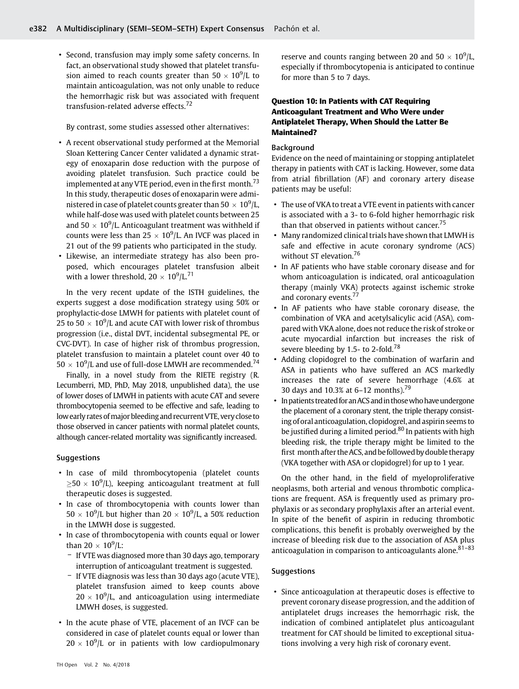• Second, transfusion may imply some safety concerns. In fact, an observational study showed that platelet transfusion aimed to reach counts greater than  $50 \times 10^9$ /L to maintain anticoagulation, was not only unable to reduce the hemorrhagic risk but was associated with frequent transfusion-related adverse effects.<sup>72</sup>

By contrast, some studies assessed other alternatives:

- A recent observational study performed at the Memorial Sloan Kettering Cancer Center validated a dynamic strategy of enoxaparin dose reduction with the purpose of avoiding platelet transfusion. Such practice could be implemented at any VTE period, even in the first month.<sup>73</sup> In this study, therapeutic doses of enoxaparin were administered in case of platelet counts greater than 50  $\,\times\,$  10 $^{9}$ /L, while half-dose was used with platelet counts between 25 and  $50 \times 10^9$ /L. Anticoagulant treatment was withheld if counts were less than 25  $\times$  10<sup>9</sup>/L. An IVCF was placed in 21 out of the 99 patients who participated in the study.
- Likewise, an intermediate strategy has also been proposed, which encourages platelet transfusion albeit with a lower threshold,  $20 \times 10^9/\text{L}^{71}$

In the very recent update of the ISTH guidelines, the experts suggest a dose modification strategy using 50% or prophylactic-dose LMWH for patients with platelet count of 25 to 50  $\times$  10 $^{9}$ /L and acute CAT with lower risk of thrombus progression (i.e., distal DVT, incidental subsegmental PE, or CVC-DVT). In case of higher risk of thrombus progression, platelet transfusion to maintain a platelet count over 40 to  $50 \times 10^9$ /L and use of full-dose LMWH are recommended.<sup>74</sup>

Finally, in a novel study from the RIETE registry (R. Lecumberri, MD, PhD, May 2018, unpublished data), the use of lower doses of LMWH in patients with acute CAT and severe thrombocytopenia seemed to be effective and safe, leading to low early rates of major bleeding and recurrent VTE, very close to those observed in cancer patients with normal platelet counts, although cancer-related mortality was significantly increased.

# Suggestions

- In case of mild thrombocytopenia (platelet counts  $\geq$ 50  $\times$  10<sup>9</sup>/L), keeping anticoagulant treatment at full therapeutic doses is suggested.
- In case of thrombocytopenia with counts lower than  $50 \times 10^9$ /L but higher than 20  $\times$   $10^9$ /L, a 50% reduction in the LMWH dose is suggested.
- In case of thrombocytopenia with counts equal or lower than 20  $\times$  10<sup>9</sup>/L:
	- If VTE was diagnosed more than 30 days ago, temporary interruption of anticoagulant treatment is suggested.
	- If VTE diagnosis was less than 30 days ago (acute VTE), platelet transfusion aimed to keep counts above  $20 \times 10^9$ /L, and anticoagulation using intermediate LMWH doses, is suggested.
- In the acute phase of VTE, placement of an IVCF can be considered in case of platelet counts equal or lower than  $20 \times 10^9$ /L or in patients with low cardiopulmonary

reserve and counts ranging between 20 and  $50 \times 10^9$ /L, especially if thrombocytopenia is anticipated to continue for more than 5 to 7 days.

# Question 10: In Patients with CAT Requiring Anticoagulant Treatment and Who Were under Antiplatelet Therapy, When Should the Latter Be Maintained?

#### Background

Evidence on the need of maintaining or stopping antiplatelet therapy in patients with CAT is lacking. However, some data from atrial fibrillation (AF) and coronary artery disease patients may be useful:

- The use of VKA to treat a VTE event in patients with cancer is associated with a 3- to 6-fold higher hemorrhagic risk than that observed in patients without cancer.<sup>75</sup>
- Many randomized clinical trials have shown that LMWH is safe and effective in acute coronary syndrome (ACS) without ST elevation.<sup>76</sup>
- In AF patients who have stable coronary disease and for whom anticoagulation is indicated, oral anticoagulation therapy (mainly VKA) protects against ischemic stroke and coronary events.<sup>77</sup>
- In AF patients who have stable coronary disease, the combination of VKA and acetylsalicylic acid (ASA), compared with VKA alone, does not reduce the risk of stroke or acute myocardial infarction but increases the risk of severe bleeding by 1.5- to 2-fold.<sup>78</sup>
- Adding clopidogrel to the combination of warfarin and ASA in patients who have suffered an ACS markedly increases the rate of severe hemorrhage (4.6% at 30 days and 10.3% at 6–12 months).<sup>79</sup>
- In patients treated for an ACS and in those who have undergone the placement of a coronary stent, the triple therapy consisting of oral anticoagulation, clopidogrel, and aspirin seems to be justified during a limited period.<sup>80</sup> In patients with high bleeding risk, the triple therapy might be limited to the first month after the ACS, and be followed by double therapy (VKA together with ASA or clopidogrel) for up to 1 year.

On the other hand, in the field of myeloproliferative neoplasms, both arterial and venous thrombotic complications are frequent. ASA is frequently used as primary prophylaxis or as secondary prophylaxis after an arterial event. In spite of the benefit of aspirin in reducing thrombotic complications, this benefit is probably overweighed by the increase of bleeding risk due to the association of ASA plus anticoagulation in comparison to anticoagulants alone. $81-83$ 

#### **Suggestions**

• Since anticoagulation at therapeutic doses is effective to prevent coronary disease progression, and the addition of antiplatelet drugs increases the hemorrhagic risk, the indication of combined antiplatelet plus anticoagulant treatment for CAT should be limited to exceptional situations involving a very high risk of coronary event.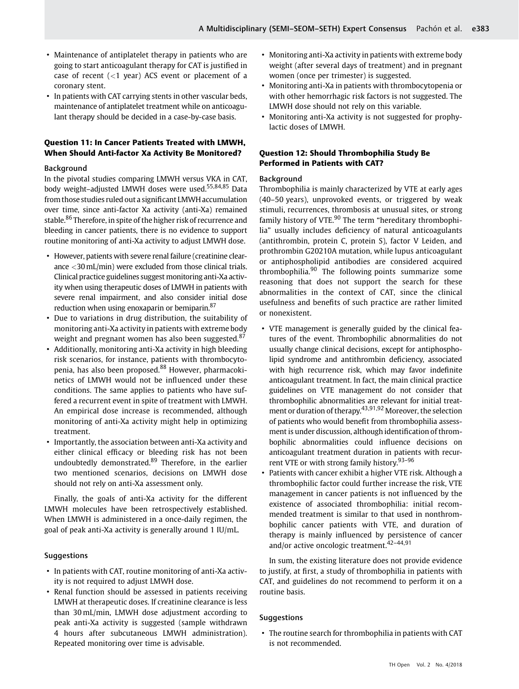- Maintenance of antiplatelet therapy in patients who are going to start anticoagulant therapy for CAT is justified in case of recent  $(<1$  year) ACS event or placement of a coronary stent.
- In patients with CAT carrying stents in other vascular beds, maintenance of antiplatelet treatment while on anticoagulant therapy should be decided in a case-by-case basis.

# Question 11: In Cancer Patients Treated with LMWH, When Should Anti-factor Xa Activity Be Monitored?

# Background

In the pivotal studies comparing LMWH versus VKA in CAT, body weight-adjusted LMWH doses were used.<sup>55,84,85</sup> Data from those studies ruled out a significant LMWH accumulation over time, since anti-factor Xa activity (anti-Xa) remained stable.<sup>86</sup> Therefore, in spite of the higher risk of recurrence and bleeding in cancer patients, there is no evidence to support routine monitoring of anti-Xa activity to adjust LMWH dose.

- However, patients with severe renal failure (creatinine clearance <30mL/min) were excluded from those clinical trials. Clinical practice guidelines suggest monitoring anti-Xa activity when using therapeutic doses of LMWH in patients with severe renal impairment, and also consider initial dose reduction when using enoxaparin or bemiparin.<sup>87</sup>
- Due to variations in drug distribution, the suitability of monitoring anti-Xa activity in patients with extreme body weight and pregnant women has also been suggested.<sup>87</sup>
- Additionally, monitoring anti-Xa activity in high bleeding risk scenarios, for instance, patients with thrombocytopenia, has also been proposed.<sup>88</sup> However, pharmacokinetics of LMWH would not be influenced under these conditions. The same applies to patients who have suffered a recurrent event in spite of treatment with LMWH. An empirical dose increase is recommended, although monitoring of anti-Xa activity might help in optimizing treatment.
- Importantly, the association between anti-Xa activity and either clinical efficacy or bleeding risk has not been undoubtedly demonstrated.<sup>89</sup> Therefore, in the earlier two mentioned scenarios, decisions on LMWH dose should not rely on anti-Xa assessment only.

Finally, the goals of anti-Xa activity for the different LMWH molecules have been retrospectively established. When LMWH is administered in a once-daily regimen, the goal of peak anti-Xa activity is generally around 1 IU/mL.

# **Suggestions**

- In patients with CAT, routine monitoring of anti-Xa activity is not required to adjust LMWH dose.
- Renal function should be assessed in patients receiving LMWH at therapeutic doses. If creatinine clearance is less than 30 mL/min, LMWH dose adjustment according to peak anti-Xa activity is suggested (sample withdrawn 4 hours after subcutaneous LMWH administration). Repeated monitoring over time is advisable.
- Monitoring anti-Xa activity in patients with extreme body weight (after several days of treatment) and in pregnant women (once per trimester) is suggested.
- Monitoring anti-Xa in patients with thrombocytopenia or with other hemorrhagic risk factors is not suggested. The LMWH dose should not rely on this variable.
- Monitoring anti-Xa activity is not suggested for prophylactic doses of LMWH.

# Question 12: Should Thrombophilia Study Be Performed in Patients with CAT?

# Background

Thrombophilia is mainly characterized by VTE at early ages (40–50 years), unprovoked events, or triggered by weak stimuli, recurrences, thrombosis at unusual sites, or strong family history of VTE.<sup>90</sup> The term "hereditary thrombophilia" usually includes deficiency of natural anticoagulants (antithrombin, protein C, protein S), factor V Leiden, and prothrombin G20210A mutation, while lupus anticoagulant or antiphospholipid antibodies are considered acquired thrombophilia. $90$  The following points summarize some reasoning that does not support the search for these abnormalities in the context of CAT, since the clinical usefulness and benefits of such practice are rather limited or nonexistent.

- VTE management is generally guided by the clinical features of the event. Thrombophilic abnormalities do not usually change clinical decisions, except for antiphospholipid syndrome and antithrombin deficiency, associated with high recurrence risk, which may favor indefinite anticoagulant treatment. In fact, the main clinical practice guidelines on VTE management do not consider that thrombophilic abnormalities are relevant for initial treatment or duration of therapy.43,91,92 Moreover, the selection of patients who would benefit from thrombophilia assessment is under discussion, although identification of thrombophilic abnormalities could influence decisions on anticoagulant treatment duration in patients with recurrent VTE or with strong family history.<sup>93-96</sup>
- Patients with cancer exhibit a higher VTE risk. Although a thrombophilic factor could further increase the risk, VTE management in cancer patients is not influenced by the existence of associated thrombophilia: initial recommended treatment is similar to that used in nonthrombophilic cancer patients with VTE, and duration of therapy is mainly influenced by persistence of cancer and/or active oncologic treatment.<sup>42-44,91</sup>

In sum, the existing literature does not provide evidence to justify, at first, a study of thrombophilia in patients with CAT, and guidelines do not recommend to perform it on a routine basis.

#### **Suggestions**

• The routine search for thrombophilia in patients with CAT is not recommended.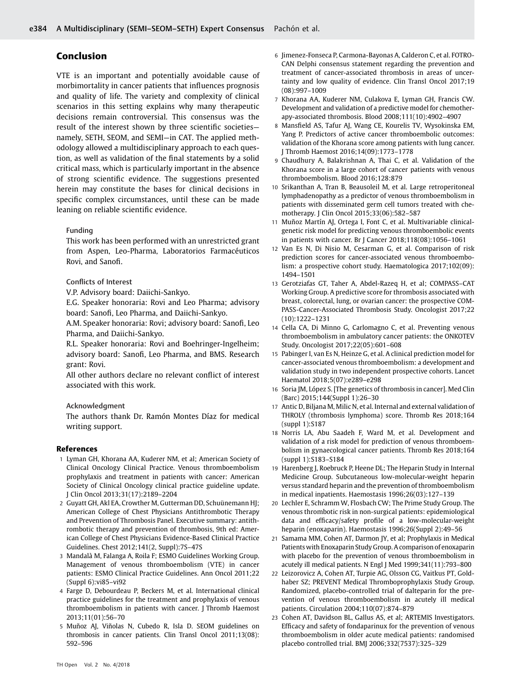# Conclusion

VTE is an important and potentially avoidable cause of morbimortality in cancer patients that influences prognosis and quality of life. The variety and complexity of clinical scenarios in this setting explains why many therapeutic decisions remain controversial. This consensus was the result of the interest shown by three scientific societies namely, SETH, SEOM, and SEMI—in CAT. The applied methodology allowed a multidisciplinary approach to each question, as well as validation of the final statements by a solid critical mass, which is particularly important in the absence of strong scientific evidence. The suggestions presented herein may constitute the bases for clinical decisions in specific complex circumstances, until these can be made leaning on reliable scientific evidence.

#### Funding

This work has been performed with an unrestricted grant from Aspen, Leo-Pharma, Laboratorios Farmacéuticos Rovi, and Sanofi.

#### Conflicts of Interest

V.P. Advisory board: Daiichi-Sankyo.

E.G. Speaker honoraria: Rovi and Leo Pharma; advisory board: Sanofi, Leo Pharma, and Daiichi-Sankyo.

A.M. Speaker honoraria: Rovi; advisory board: Sanofi, Leo Pharma, and Daiichi-Sankyo.

R.L. Speaker honoraria: Rovi and Boehringer-Ingelheim; advisory board: Sanofi, Leo Pharma, and BMS. Research grant: Rovi.

All other authors declare no relevant conflict of interest associated with this work.

#### Acknowledgment

The authors thank Dr. Ramón Montes Díaz for medical writing support.

#### References

- 1 Lyman GH, Khorana AA, Kuderer NM, et al; American Society of Clinical Oncology Clinical Practice. Venous thromboembolism prophylaxis and treatment in patients with cancer: American Society of Clinical Oncology clinical practice guideline update. J Clin Oncol 2013;31(17):2189–2204
- 2 Guyatt GH, Akl EA, Crowther M, Gutterman DD, Schuünemann HJ; American College of Chest Physicians Antithrombotic Therapy and Prevention of Thrombosis Panel. Executive summary: antithrombotic therapy and prevention of thrombosis, 9th ed: American College of Chest Physicians Evidence-Based Clinical Practice Guidelines. Chest 2012;141(2, Suppl):7S–47S
- 3 Mandalà M, Falanga A, Roila F; ESMO Guidelines Working Group. Management of venous thromboembolism (VTE) in cancer patients: ESMO Clinical Practice Guidelines. Ann Oncol 2011;22 (Suppl 6):vi85–vi92
- 4 Farge D, Debourdeau P, Beckers M, et al. International clinical practice guidelines for the treatment and prophylaxis of venous thromboembolism in patients with cancer. J Thromb Haemost 2013;11(01):56–70
- 5 Muñoz AJ, Viñolas N, Cubedo R, Isla D. SEOM guidelines on thrombosis in cancer patients. Clin Transl Oncol 2011;13(08): 592–596
- 6 Jimenez-Fonseca P, Carmona-Bayonas A, Calderon C, et al. FOTRO-CAN Delphi consensus statement regarding the prevention and treatment of cancer-associated thrombosis in areas of uncertainty and low quality of evidence. Clin Transl Oncol 2017;19 (08):997–1009
- 7 Khorana AA, Kuderer NM, Culakova E, Lyman GH, Francis CW. Development and validation of a predictive model for chemotherapy-associated thrombosis. Blood 2008;111(10):4902–4907
- 8 Mansfield AS, Tafur AJ, Wang CE, Kourelis TV, Wysokinska EM, Yang P. Predictors of active cancer thromboembolic outcomes: validation of the Khorana score among patients with lung cancer. J Thromb Haemost 2016;14(09):1773–1778
- 9 Chaudhury A, Balakrishnan A, Thai C, et al. Validation of the Khorana score in a large cohort of cancer patients with venous thromboembolism. Blood 2016;128:879
- 10 Srikanthan A, Tran B, Beausoleil M, et al. Large retroperitoneal lymphadenopathy as a predictor of venous thromboembolism in patients with disseminated germ cell tumors treated with chemotherapy. J Clin Oncol 2015;33(06):582–587
- 11 Muñoz Martín AJ, Ortega I, Font C, et al. Multivariable clinicalgenetic risk model for predicting venous thromboembolic events in patients with cancer. Br J Cancer 2018;118(08):1056–1061
- 12 Van Es N, Di Nisio M, Cesarman G, et al. Comparison of risk prediction scores for cancer-associated venous thromboembolism: a prospective cohort study. Haematologica 2017;102(09): 1494–1501
- 13 Gerotziafas GT, Taher A, Abdel-Razeq H, et al; COMPASS–CAT Working Group. A predictive score for thrombosis associated with breast, colorectal, lung, or ovarian cancer: the prospective COM-PASS-Cancer-Associated Thrombosis Study. Oncologist 2017;22 (10):1222–1231
- 14 Cella CA, Di Minno G, Carlomagno C, et al. Preventing venous thromboembolism in ambulatory cancer patients: the ONKOTEV Study. Oncologist 2017;22(05):601–608
- 15 Pabinger I, van Es N, Heinze G, et al. A clinical prediction model for cancer-associated venous thromboembolism: a development and validation study in two independent prospective cohorts. Lancet Haematol 2018;5(07):e289–e298
- 16 Soria JM, López S. [The genetics of thrombosis in cancer]. Med Clin (Barc) 2015;144(Suppl 1):26–30
- 17 Antic D, Biljana M, Milic N, et al. Internal and external validation of THROLY (thrombosis lymphoma) score. Thromb Res 2018;164 (suppl 1):S187
- 18 Norris LA, Abu Saadeh F, Ward M, et al. Development and validation of a risk model for prediction of venous thromboembolism in gynaecological cancer patients. Thromb Res 2018;164 (suppl 1):S183–S184
- 19 Harenberg J, Roebruck P, Heene DL; The Heparin Study in Internal Medicine Group. Subcutaneous low-molecular-weight heparin versus standard heparin and the prevention of thromboembolism in medical inpatients. Haemostasis 1996;26(03):127–139
- 20 Lechler E, Schramm W, Flosbach CW; The Prime Study Group. The venous thrombotic risk in non-surgical patients: epidemiological data and efficacy/safety profile of a low-molecular-weight heparin (enoxaparin). Haemostasis 1996;26(Suppl 2):49–56
- 21 Samama MM, Cohen AT, Darmon JY, et al; Prophylaxis in Medical Patients with Enoxaparin Study Group. A comparison of enoxaparin with placebo for the prevention of venous thromboembolism in acutely ill medical patients. N Engl J Med 1999;341(11):793–800
- 22 Leizorovicz A, Cohen AT, Turpie AG, Olsson CG, Vaitkus PT, Goldhaber SZ; PREVENT Medical Thromboprophylaxis Study Group. Randomized, placebo-controlled trial of dalteparin for the prevention of venous thromboembolism in acutely ill medical patients. Circulation 2004;110(07):874–879
- 23 Cohen AT, Davidson BL, Gallus AS, et al; ARTEMIS Investigators. Efficacy and safety of fondaparinux for the prevention of venous thromboembolism in older acute medical patients: randomised placebo controlled trial. BMJ 2006;332(7537):325–329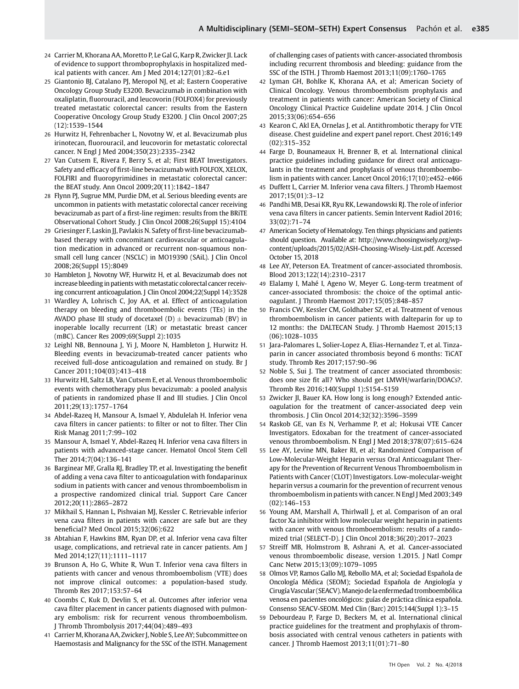- 24 Carrier M, Khorana AA, Moretto P, Le Gal G, Karp R, Zwicker JI. Lack of evidence to support thromboprophylaxis in hospitalized medical patients with cancer. Am J Med 2014;127(01):82–6.e1
- 25 Giantonio BJ, Catalano PJ, Meropol NJ, et al; Eastern Cooperative Oncology Group Study E3200. Bevacizumab in combination with oxaliplatin, fluorouracil, and leucovorin (FOLFOX4) for previously treated metastatic colorectal cancer: results from the Eastern Cooperative Oncology Group Study E3200. J Clin Oncol 2007;25 (12):1539–1544
- 26 Hurwitz H, Fehrenbacher L, Novotny W, et al. Bevacizumab plus irinotecan, fluorouracil, and leucovorin for metastatic colorectal cancer. N Engl J Med 2004;350(23):2335–2342
- 27 Van Cutsem E, Rivera F, Berry S, et al; First BEAT Investigators. Safety and efficacy of first-line bevacizumab with FOLFOX, XELOX, FOLFIRI and fluoropyrimidines in metastatic colorectal cancer: the BEAT study. Ann Oncol 2009;20(11):1842–1847
- 28 Flynn PJ, Sugrue MM, Purdie DM, et al. Serious bleeding events are uncommon in patients with metastatic colorectal cancer receiving bevacizumab as part of a first-line regimen: results from the BRiTE Observational Cohort Study. J Clin Oncol 2008;26(Suppl 15):4104
- 29 Griesinger F, Laskin JJ, Pavlakis N. Safety of first-line bevacizumabbased therapy with concomitant cardiovascular or anticoagulation medication in advanced or recurrent non-squamous nonsmall cell lung cancer (NSCLC) in MO19390 (SAiL). J Clin Oncol 2008;26(Suppl 15):8049
- 30 Hambleton J, Novotny WF, Hurwitz H, et al. Bevacizumab does not increase bleeding in patients with metastatic colorectal cancer receiving concurrent anticoagulation. J Clin Oncol 2004;22(Suppl 14):3528
- 31 Wardley A, Lohrisch C, Joy AA, et al. Effect of anticoagulation therapy on bleeding and thromboembolic events (TEs) in the AVADO phase III study of docetaxel  $(D) \pm$  bevacizumab (BV) in inoperable locally recurrent (LR) or metastatic breast cancer (mBC). Cancer Res 2009;69(Suppl 2):1035
- 32 Leighl NB, Bennouna J, Yi J, Moore N, Hambleton J, Hurwitz H. Bleeding events in bevacizumab-treated cancer patients who received full-dose anticoagulation and remained on study. Br J Cancer 2011;104(03):413–418
- 33 Hurwitz HI, Saltz LB, Van Cutsem E, et al. Venous thromboembolic events with chemotherapy plus bevacizumab: a pooled analysis of patients in randomized phase II and III studies. J Clin Oncol 2011;29(13):1757–1764
- 34 Abdel-Razeq H, Mansour A, Ismael Y, Abdulelah H. Inferior vena cava filters in cancer patients: to filter or not to filter. Ther Clin Risk Manag 2011;7:99–102
- 35 Mansour A, Ismael Y, Abdel-Razeq H. Inferior vena cava filters in patients with advanced-stage cancer. Hematol Oncol Stem Cell Ther 2014;7(04):136–141
- 36 Barginear MF, Gralla RJ, Bradley TP, et al. Investigating the benefit of adding a vena cava filter to anticoagulation with fondaparinux sodium in patients with cancer and venous thromboembolism in a prospective randomized clinical trial. Support Care Cancer 2012;20(11):2865–2872
- 37 Mikhail S, Hannan L, Pishvaian MJ, Kessler C. Retrievable inferior vena cava filters in patients with cancer are safe but are they beneficial? Med Oncol 2015;32(06):622
- 38 Abtahian F, Hawkins BM, Ryan DP, et al. Inferior vena cava filter usage, complications, and retrieval rate in cancer patients. Am J Med 2014;127(11):1111–1117
- 39 Brunson A, Ho G, White R, Wun T. Inferior vena cava filters in patients with cancer and venous thromboembolism (VTE) does not improve clinical outcomes: a population-based study. Thromb Res 2017;153:57–64
- 40 Coombs C, Kuk D, Devlin S, et al. Outcomes after inferior vena cava filter placement in cancer patients diagnosed with pulmonary embolism: risk for recurrent venous thromboembolism. J Thromb Thrombolysis 2017;44(04):489–493
- 41 Carrier M, Khorana AA, Zwicker J, Noble S, Lee AY; Subcommittee on Haemostasis and Malignancy for the SSC of the ISTH. Management

of challenging cases of patients with cancer-associated thrombosis including recurrent thrombosis and bleeding: guidance from the SSC of the ISTH. J Thromb Haemost 2013;11(09):1760–1765

- 42 Lyman GH, Bohlke K, Khorana AA, et al; American Society of Clinical Oncology. Venous thromboembolism prophylaxis and treatment in patients with cancer: American Society of Clinical Oncology Clinical Practice Guideline update 2014. J Clin Oncol 2015;33(06):654–656
- 43 Kearon C, Akl EA, Ornelas J, et al. Antithrombotic therapy for VTE disease. Chest guideline and expert panel report. Chest 2016;149 (02):315–352
- 44 Farge D, Bounameaux H, Brenner B, et al. International clinical practice guidelines including guidance for direct oral anticoagulants in the treatment and prophylaxis of venous thromboembolism in patients with cancer. Lancet Oncol 2016;17(10):e452–e466
- 45 Duffett L, Carrier M. Inferior vena cava filters. J Thromb Haemost 2017;15(01):3–12
- 46 Pandhi MB, Desai KR, Ryu RK, Lewandowski RJ. The role of inferior vena cava filters in cancer patients. Semin Intervent Radiol 2016; 33(02):71–74
- 47 American Society of Hematology. Ten things physicians and patients should question. Available at: [http://www.choosingwisely.org/wp](http://www.choosingwisely.org/wp-content/uploads/2015/02/ASH-Choosing-Wisely-List.pdf)[content/uploads/2015/02/ASH-Choosing-Wisely-List.pdf.](http://www.choosingwisely.org/wp-content/uploads/2015/02/ASH-Choosing-Wisely-List.pdf) Accessed October 15, 2018
- 48 Lee AY, Peterson EA. Treatment of cancer-associated thrombosis. Blood 2013;122(14):2310–2317
- 49 Elalamy I, Mahé I, Ageno W, Meyer G. Long-term treatment of cancer-associated thrombosis: the choice of the optimal anticoagulant. J Thromb Haemost 2017;15(05):848–857
- 50 Francis CW, Kessler CM, Goldhaber SZ, et al. Treatment of venous thromboembolism in cancer patients with dalteparin for up to 12 months: the DALTECAN Study. J Thromb Haemost 2015;13 (06):1028–1035
- 51 Jara-Palomares L, Solier-Lopez A, Elias-Hernandez T, et al. Tinzaparin in cancer associated thrombosis beyond 6 months: TiCAT study. Thromb Res 2017;157:90–96
- 52 Noble S, Sui J. The treatment of cancer associated thrombosis: does one size fit all? Who should get LMWH/warfarin/DOACs?. Thromb Res 2016;140(Suppl 1):S154–S159
- 53 Zwicker JI, Bauer KA. How long is long enough? Extended anticoagulation for the treatment of cancer-associated deep vein thrombosis. J Clin Oncol 2014;32(32):3596–3599
- 54 Raskob GE, van Es N, Verhamme P, et al; Hokusai VTE Cancer Investigators. Edoxaban for the treatment of cancer-associated venous thromboembolism. N Engl J Med 2018;378(07):615–624
- 55 Lee AY, Levine MN, Baker RI, et al; Randomized Comparison of Low-Molecular-Weight Heparin versus Oral Anticoagulant Therapy for the Prevention of Recurrent Venous Thromboembolism in Patients with Cancer (CLOT) Investigators. Low-molecular-weight heparin versus a coumarin for the prevention of recurrent venous thromboembolism in patients with cancer. N Engl J Med 2003;349 (02):146–153
- 56 Young AM, Marshall A, Thirlwall J, et al. Comparison of an oral factor Xa inhibitor with low molecular weight heparin in patients with cancer with venous thromboembolism: results of a randomized trial (SELECT-D). J Clin Oncol 2018;36(20):2017–2023
- 57 Streiff MB, Holmstrom B, Ashrani A, et al. Cancer-associated venous thromboembolic disease, version 1.2015. J Natl Compr Canc Netw 2015;13(09):1079–1095
- 58 Olmos VP, Ramos Gallo MJ, Rebollo MA, et al; Sociedad Española de Oncología Médica (SEOM); Sociedad Española de Angiología y CirugíaVascular (SEACV).Manejodela enfermedad tromboembólica venosa en pacientes oncológicos: guías de práctica clínica española. Consenso SEACV-SEOM. Med Clin (Barc) 2015;144(Suppl 1):3–15
- 59 Debourdeau P, Farge D, Beckers M, et al. International clinical practice guidelines for the treatment and prophylaxis of thrombosis associated with central venous catheters in patients with cancer. J Thromb Haemost 2013;11(01):71–80